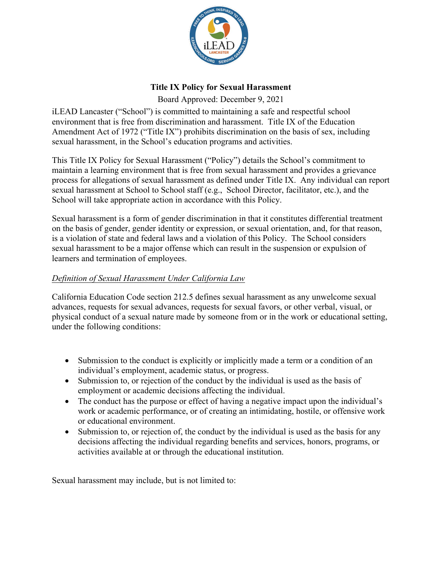

#### **Title IX Policy for Sexual Harassment**

Board Approved: December 9, 2021

iLEAD Lancaster ("School") is committed to maintaining a safe and respectful school environment that is free from discrimination and harassment. Title IX of the Education Amendment Act of 1972 ("Title IX") prohibits discrimination on the basis of sex, including sexual harassment, in the School's education programs and activities.

This Title IX Policy for Sexual Harassment ("Policy") details the School's commitment to maintain a learning environment that is free from sexual harassment and provides a grievance process for allegations of sexual harassment as defined under Title IX. Any individual can report sexual harassment at School to School staff (e.g., School Director, facilitator, etc.), and the School will take appropriate action in accordance with this Policy.

Sexual harassment is a form of gender discrimination in that it constitutes differential treatment on the basis of gender, gender identity or expression, or sexual orientation, and, for that reason, is a violation of state and federal laws and a violation of this Policy. The School considers sexual harassment to be a major offense which can result in the suspension or expulsion of learners and termination of employees.

#### *Definition of Sexual Harassment Under California Law*

California Education Code section 212.5 defines sexual harassment as any unwelcome sexual advances, requests for sexual advances, requests for sexual favors, or other verbal, visual, or physical conduct of a sexual nature made by someone from or in the work or educational setting, under the following conditions:

- Submission to the conduct is explicitly or implicitly made a term or a condition of an individual's employment, academic status, or progress.
- Submission to, or rejection of the conduct by the individual is used as the basis of employment or academic decisions affecting the individual.
- The conduct has the purpose or effect of having a negative impact upon the individual's work or academic performance, or of creating an intimidating, hostile, or offensive work or educational environment.
- Submission to, or rejection of, the conduct by the individual is used as the basis for any decisions affecting the individual regarding benefits and services, honors, programs, or activities available at or through the educational institution.

Sexual harassment may include, but is not limited to: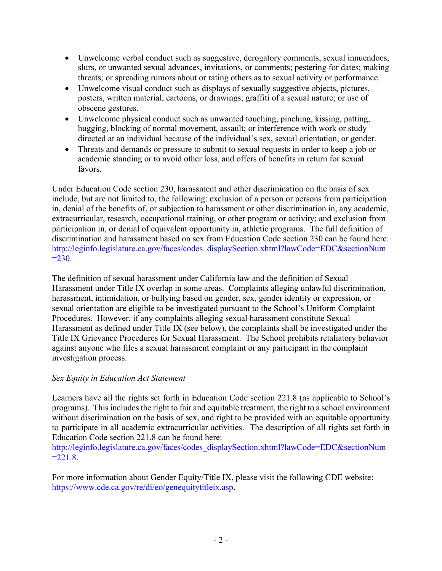- Unwelcome verbal conduct such as suggestive, derogatory comments, sexual innuendoes, slurs, or unwanted sexual advances, invitations, or comments; pestering for dates; making threats; or spreading rumors about or rating others as to sexual activity or performance.
- Unwelcome visual conduct such as displays of sexually suggestive objects, pictures, posters, written material, cartoons, or drawings; graffiti of a sexual nature; or use of obscene gestures.
- Unwelcome physical conduct such as unwanted touching, pinching, kissing, patting, hugging, blocking of normal movement, assault; or interference with work or study directed at an individual because of the individual's sex, sexual orientation, or gender.
- Threats and demands or pressure to submit to sexual requests in order to keep a job or academic standing or to avoid other loss, and offers of benefits in return for sexual favors.

Under Education Code section 230, harassment and other discrimination on the basis of sex include, but are not limited to, the following: exclusion of a person or persons from participation in, denial of the benefits of, or subjection to harassment or other discrimination in, any academic, extracurricular, research, occupational training, or other program or activity; and exclusion from participation in, or denial of equivalent opportunity in, athletic programs. The full definition of discrimination and harassment based on sex from Education Code section 230 can be found here: http://leginfo.legislature.ca.gov/faces/codes\_displaySection.xhtml?lawCode=EDC&sectionNum  $=230.$ 

The definition of sexual harassment under California law and the definition of Sexual Harassment under Title IX overlap in some areas. Complaints alleging unlawful discrimination, harassment, intimidation, or bullying based on gender, sex, gender identity or expression, or sexual orientation are eligible to be investigated pursuant to the School's Uniform Complaint Procedures. However, if any complaints alleging sexual harassment constitute Sexual Harassment as defined under Title IX (see below), the complaints shall be investigated under the Title IX Grievance Procedures for Sexual Harassment. The School prohibits retaliatory behavior against anyone who files a sexual harassment complaint or any participant in the complaint investigation process.

#### *Sex Equity in Education Act Statement*

Learners have all the rights set forth in Education Code section 221.8 (as applicable to School's programs). This includes the right to fair and equitable treatment, the right to a school environment without discrimination on the basis of sex, and right to be provided with an equitable opportunity to participate in all academic extracurricular activities. The description of all rights set forth in Education Code section 221.8 can be found here:

http://leginfo.legislature.ca.gov/faces/codes\_displaySection.xhtml?lawCode=EDC&sectionNum  $=221.8$ .

For more information about Gender Equity/Title IX, please visit the following CDE website: https://www.cde.ca.gov/re/di/eo/genequitytitleix.asp.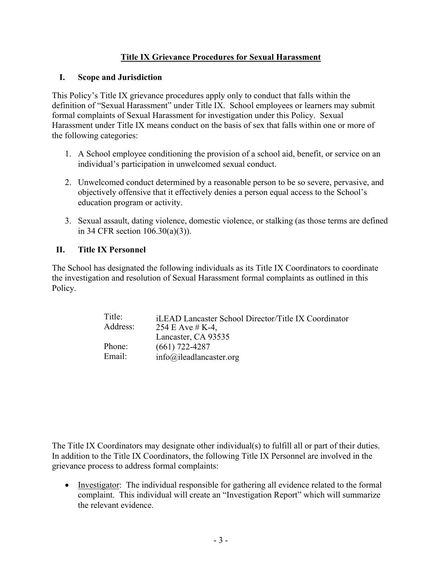## **Title IX Grievance Procedures for Sexual Harassment**

#### **I. Scope and Jurisdiction**

This Policy's Title IX grievance procedures apply only to conduct that falls within the definition of "Sexual Harassment" under Title IX. School employees or learners may submit formal complaints of Sexual Harassment for investigation under this Policy. Sexual Harassment under Title IX means conduct on the basis of sex that falls within one or more of the following categories:

- 1. A School employee conditioning the provision of a school aid, benefit, or service on an individual's participation in unwelcomed sexual conduct.
- 2. Unwelcomed conduct determined by a reasonable person to be so severe, pervasive, and objectively offensive that it effectively denies a person equal access to the School's education program or activity.
- 3. Sexual assault, dating violence, domestic violence, or stalking (as those terms are defined in 34 CFR section 106.30(a)(3)).

#### **II. Title IX Personnel**

The School has designated the following individuals as its Title IX Coordinators to coordinate the investigation and resolution of Sexual Harassment formal complaints as outlined in this Policy.

| iLEAD Lancaster School Director/Title IX Coordinator |
|------------------------------------------------------|
| 254 E Ave # K-4,                                     |
| Lancaster, CA 93535                                  |
| $(661)$ 722-4287                                     |
| $info(\widehat{a})$ ileadlancaster.org               |
|                                                      |

The Title IX Coordinators may designate other individual(s) to fulfill all or part of their duties. In addition to the Title IX Coordinators, the following Title IX Personnel are involved in the grievance process to address formal complaints:

• Investigator: The individual responsible for gathering all evidence related to the formal complaint. This individual will create an "Investigation Report" which will summarize the relevant evidence.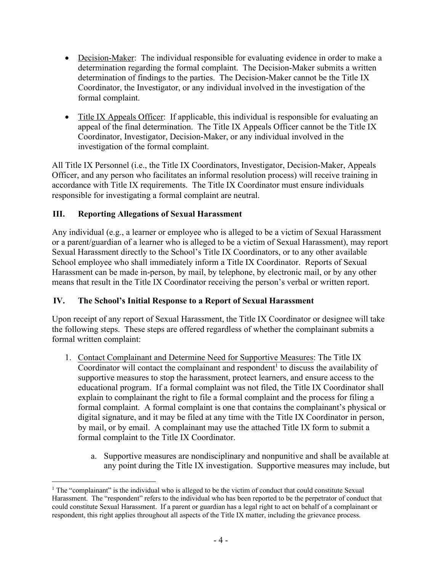- Decision-Maker: The individual responsible for evaluating evidence in order to make a determination regarding the formal complaint. The Decision-Maker submits a written determination of findings to the parties. The Decision-Maker cannot be the Title IX Coordinator, the Investigator, or any individual involved in the investigation of the formal complaint.
- Title IX Appeals Officer: If applicable, this individual is responsible for evaluating an appeal of the final determination. The Title IX Appeals Officer cannot be the Title IX Coordinator, Investigator, Decision-Maker, or any individual involved in the investigation of the formal complaint.

All Title IX Personnel (i.e., the Title IX Coordinators, Investigator, Decision-Maker, Appeals Officer, and any person who facilitates an informal resolution process) will receive training in accordance with Title IX requirements. The Title IX Coordinator must ensure individuals responsible for investigating a formal complaint are neutral.

## **III. Reporting Allegations of Sexual Harassment**

Any individual (e.g., a learner or employee who is alleged to be a victim of Sexual Harassment or a parent/guardian of a learner who is alleged to be a victim of Sexual Harassment), may report Sexual Harassment directly to the School's Title IX Coordinators, or to any other available School employee who shall immediately inform a Title IX Coordinator. Reports of Sexual Harassment can be made in-person, by mail, by telephone, by electronic mail, or by any other means that result in the Title IX Coordinator receiving the person's verbal or written report.

## **IV. The School's Initial Response to a Report of Sexual Harassment**

Upon receipt of any report of Sexual Harassment, the Title IX Coordinator or designee will take the following steps. These steps are offered regardless of whether the complainant submits a formal written complaint:

- 1. Contact Complainant and Determine Need for Supportive Measures: The Title IX Coordinator will contact the complainant and respondent<sup>1</sup> to discuss the availability of supportive measures to stop the harassment, protect learners, and ensure access to the educational program. If a formal complaint was not filed, the Title IX Coordinator shall explain to complainant the right to file a formal complaint and the process for filing a formal complaint. A formal complaint is one that contains the complainant's physical or digital signature, and it may be filed at any time with the Title IX Coordinator in person, by mail, or by email. A complainant may use the attached Title IX form to submit a formal complaint to the Title IX Coordinator.
	- a. Supportive measures are nondisciplinary and nonpunitive and shall be available at any point during the Title IX investigation. Supportive measures may include, but

 $<sup>1</sup>$  The "complainant" is the individual who is alleged to be the victim of conduct that could constitute Sexual</sup> Harassment. The "respondent" refers to the individual who has been reported to be the perpetrator of conduct that could constitute Sexual Harassment. If a parent or guardian has a legal right to act on behalf of a complainant or respondent, this right applies throughout all aspects of the Title IX matter, including the grievance process.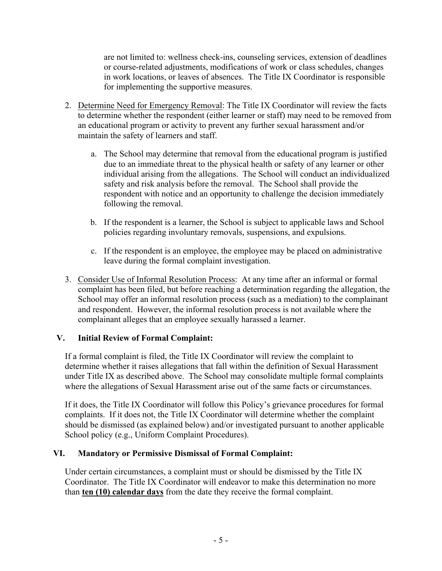are not limited to: wellness check-ins, counseling services, extension of deadlines or course-related adjustments, modifications of work or class schedules, changes in work locations, or leaves of absences. The Title IX Coordinator is responsible for implementing the supportive measures.

- 2. Determine Need for Emergency Removal: The Title IX Coordinator will review the facts to determine whether the respondent (either learner or staff) may need to be removed from an educational program or activity to prevent any further sexual harassment and/or maintain the safety of learners and staff.
	- a. The School may determine that removal from the educational program is justified due to an immediate threat to the physical health or safety of any learner or other individual arising from the allegations. The School will conduct an individualized safety and risk analysis before the removal. The School shall provide the respondent with notice and an opportunity to challenge the decision immediately following the removal.
	- b. If the respondent is a learner, the School is subject to applicable laws and School policies regarding involuntary removals, suspensions, and expulsions.
	- c. If the respondent is an employee, the employee may be placed on administrative leave during the formal complaint investigation.
- 3. Consider Use of Informal Resolution Process: At any time after an informal or formal complaint has been filed, but before reaching a determination regarding the allegation, the School may offer an informal resolution process (such as a mediation) to the complainant and respondent. However, the informal resolution process is not available where the complainant alleges that an employee sexually harassed a learner.

## **V. Initial Review of Formal Complaint:**

If a formal complaint is filed, the Title IX Coordinator will review the complaint to determine whether it raises allegations that fall within the definition of Sexual Harassment under Title IX as described above. The School may consolidate multiple formal complaints where the allegations of Sexual Harassment arise out of the same facts or circumstances.

If it does, the Title IX Coordinator will follow this Policy's grievance procedures for formal complaints. If it does not, the Title IX Coordinator will determine whether the complaint should be dismissed (as explained below) and/or investigated pursuant to another applicable School policy (e.g., Uniform Complaint Procedures).

#### **VI. Mandatory or Permissive Dismissal of Formal Complaint:**

Under certain circumstances, a complaint must or should be dismissed by the Title IX Coordinator. The Title IX Coordinator will endeavor to make this determination no more than **ten (10) calendar days** from the date they receive the formal complaint.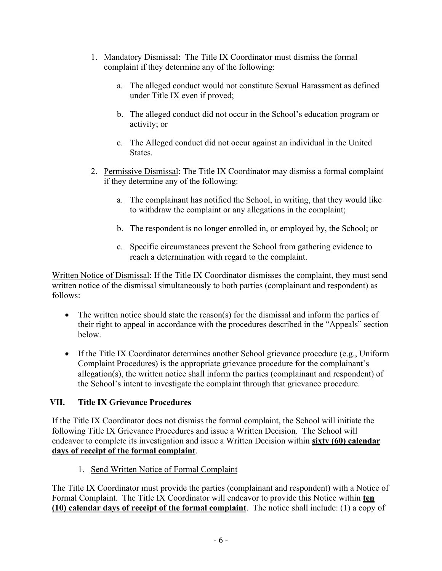- 1. Mandatory Dismissal: The Title IX Coordinator must dismiss the formal complaint if they determine any of the following:
	- a. The alleged conduct would not constitute Sexual Harassment as defined under Title IX even if proved;
	- b. The alleged conduct did not occur in the School's education program or activity; or
	- c. The Alleged conduct did not occur against an individual in the United States.
- 2. Permissive Dismissal: The Title IX Coordinator may dismiss a formal complaint if they determine any of the following:
	- a. The complainant has notified the School, in writing, that they would like to withdraw the complaint or any allegations in the complaint;
	- b. The respondent is no longer enrolled in, or employed by, the School; or
	- c. Specific circumstances prevent the School from gathering evidence to reach a determination with regard to the complaint.

Written Notice of Dismissal: If the Title IX Coordinator dismisses the complaint, they must send written notice of the dismissal simultaneously to both parties (complainant and respondent) as follows:

- The written notice should state the reason(s) for the dismissal and inform the parties of their right to appeal in accordance with the procedures described in the "Appeals" section below.
- If the Title IX Coordinator determines another School grievance procedure (e.g., Uniform Complaint Procedures) is the appropriate grievance procedure for the complainant's allegation(s), the written notice shall inform the parties (complainant and respondent) of the School's intent to investigate the complaint through that grievance procedure.

## **VII. Title IX Grievance Procedures**

If the Title IX Coordinator does not dismiss the formal complaint, the School will initiate the following Title IX Grievance Procedures and issue a Written Decision. The School will endeavor to complete its investigation and issue a Written Decision within **sixty (60) calendar days of receipt of the formal complaint**.

1. Send Written Notice of Formal Complaint

The Title IX Coordinator must provide the parties (complainant and respondent) with a Notice of Formal Complaint. The Title IX Coordinator will endeavor to provide this Notice within **ten (10) calendar days of receipt of the formal complaint**. The notice shall include: (1) a copy of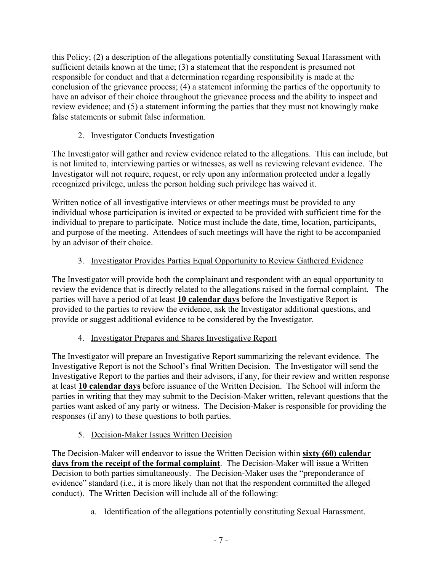this Policy; (2) a description of the allegations potentially constituting Sexual Harassment with sufficient details known at the time; (3) a statement that the respondent is presumed not responsible for conduct and that a determination regarding responsibility is made at the conclusion of the grievance process; (4) a statement informing the parties of the opportunity to have an advisor of their choice throughout the grievance process and the ability to inspect and review evidence; and (5) a statement informing the parties that they must not knowingly make false statements or submit false information.

## 2. Investigator Conducts Investigation

The Investigator will gather and review evidence related to the allegations. This can include, but is not limited to, interviewing parties or witnesses, as well as reviewing relevant evidence. The Investigator will not require, request, or rely upon any information protected under a legally recognized privilege, unless the person holding such privilege has waived it.

Written notice of all investigative interviews or other meetings must be provided to any individual whose participation is invited or expected to be provided with sufficient time for the individual to prepare to participate. Notice must include the date, time, location, participants, and purpose of the meeting. Attendees of such meetings will have the right to be accompanied by an advisor of their choice.

## 3. Investigator Provides Parties Equal Opportunity to Review Gathered Evidence

The Investigator will provide both the complainant and respondent with an equal opportunity to review the evidence that is directly related to the allegations raised in the formal complaint. The parties will have a period of at least **10 calendar days** before the Investigative Report is provided to the parties to review the evidence, ask the Investigator additional questions, and provide or suggest additional evidence to be considered by the Investigator.

## 4. Investigator Prepares and Shares Investigative Report

The Investigator will prepare an Investigative Report summarizing the relevant evidence. The Investigative Report is not the School's final Written Decision. The Investigator will send the Investigative Report to the parties and their advisors, if any, for their review and written response at least **10 calendar days** before issuance of the Written Decision. The School will inform the parties in writing that they may submit to the Decision-Maker written, relevant questions that the parties want asked of any party or witness. The Decision-Maker is responsible for providing the responses (if any) to these questions to both parties.

## 5. Decision-Maker Issues Written Decision

The Decision-Maker will endeavor to issue the Written Decision within **sixty (60) calendar days from the receipt of the formal complaint**. The Decision-Maker will issue a Written Decision to both parties simultaneously. The Decision-Maker uses the "preponderance of evidence" standard (i.e., it is more likely than not that the respondent committed the alleged conduct). The Written Decision will include all of the following:

a. Identification of the allegations potentially constituting Sexual Harassment.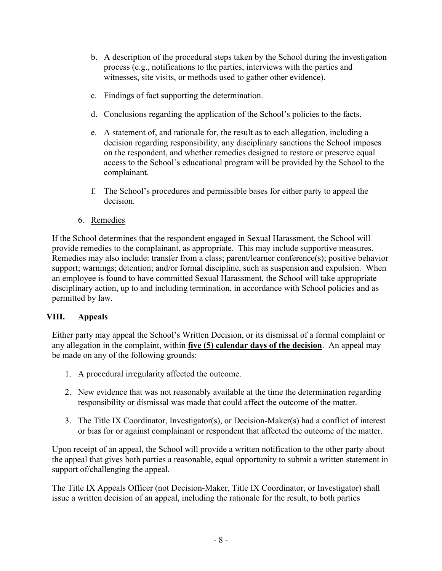- b. A description of the procedural steps taken by the School during the investigation process (e.g., notifications to the parties, interviews with the parties and witnesses, site visits, or methods used to gather other evidence).
- c. Findings of fact supporting the determination.
- d. Conclusions regarding the application of the School's policies to the facts.
- e. A statement of, and rationale for, the result as to each allegation, including a decision regarding responsibility, any disciplinary sanctions the School imposes on the respondent, and whether remedies designed to restore or preserve equal access to the School's educational program will be provided by the School to the complainant.
- f. The School's procedures and permissible bases for either party to appeal the decision.
- 6. Remedies

If the School determines that the respondent engaged in Sexual Harassment, the School will provide remedies to the complainant, as appropriate. This may include supportive measures. Remedies may also include: transfer from a class; parent/learner conference(s); positive behavior support; warnings; detention; and/or formal discipline, such as suspension and expulsion. When an employee is found to have committed Sexual Harassment, the School will take appropriate disciplinary action, up to and including termination, in accordance with School policies and as permitted by law.

#### **VIII. Appeals**

Either party may appeal the School's Written Decision, or its dismissal of a formal complaint or any allegation in the complaint, within **five (5) calendar days of the decision**. An appeal may be made on any of the following grounds:

- 1. A procedural irregularity affected the outcome.
- 2. New evidence that was not reasonably available at the time the determination regarding responsibility or dismissal was made that could affect the outcome of the matter.
- 3. The Title IX Coordinator, Investigator(s), or Decision-Maker(s) had a conflict of interest or bias for or against complainant or respondent that affected the outcome of the matter.

Upon receipt of an appeal, the School will provide a written notification to the other party about the appeal that gives both parties a reasonable, equal opportunity to submit a written statement in support of/challenging the appeal.

The Title IX Appeals Officer (not Decision-Maker, Title IX Coordinator, or Investigator) shall issue a written decision of an appeal, including the rationale for the result, to both parties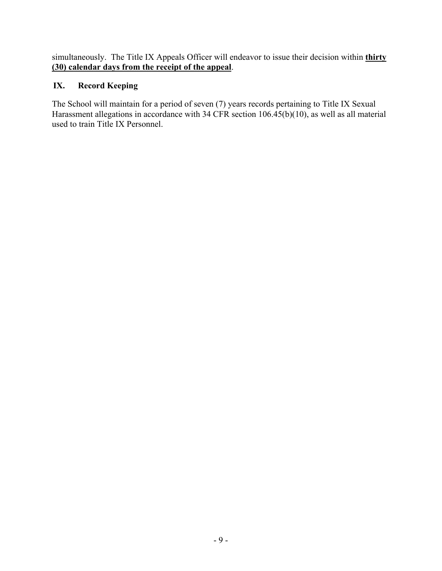simultaneously. The Title IX Appeals Officer will endeavor to issue their decision within **thirty (30) calendar days from the receipt of the appeal**.

## **IX. Record Keeping**

The School will maintain for a period of seven (7) years records pertaining to Title IX Sexual Harassment allegations in accordance with 34 CFR section 106.45(b)(10), as well as all material used to train Title IX Personnel.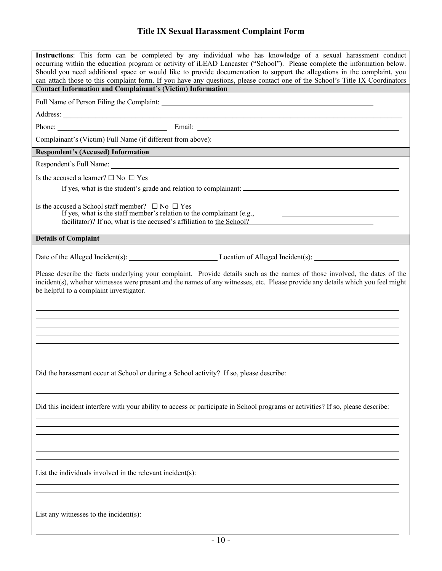# **Title IX Sexual Harassment Complaint Form**

|                                                            | <b>Contact Information and Complainant's (Victim) Information</b>                                                                                                                                                                                                                                                                   |
|------------------------------------------------------------|-------------------------------------------------------------------------------------------------------------------------------------------------------------------------------------------------------------------------------------------------------------------------------------------------------------------------------------|
|                                                            |                                                                                                                                                                                                                                                                                                                                     |
|                                                            |                                                                                                                                                                                                                                                                                                                                     |
|                                                            |                                                                                                                                                                                                                                                                                                                                     |
|                                                            | Respondent's (Accused) Information                                                                                                                                                                                                                                                                                                  |
|                                                            |                                                                                                                                                                                                                                                                                                                                     |
| Is the accused a learner? $\square$ No $\square$ Yes       |                                                                                                                                                                                                                                                                                                                                     |
|                                                            |                                                                                                                                                                                                                                                                                                                                     |
| Is the accused a School staff member? $\Box$ No $\Box$ Yes | If yes, what is the staff member's relation to the complainant (e.g.,<br>facilitator)? If no, what is the accused's affiliation to the School?                                                                                                                                                                                      |
|                                                            |                                                                                                                                                                                                                                                                                                                                     |
| <b>Details of Complaint</b>                                |                                                                                                                                                                                                                                                                                                                                     |
|                                                            | Date of the Alleged Incident(s): Location of Alleged Incident(s):<br>Please describe the facts underlying your complaint. Provide details such as the names of those involved, the dates of the<br>incident(s), whether witnesses were present and the names of any witnesses, etc. Please provide any details which you feel might |
| be helpful to a complaint investigator.                    |                                                                                                                                                                                                                                                                                                                                     |
|                                                            | Did the harassment occur at School or during a School activity? If so, please describe:                                                                                                                                                                                                                                             |
|                                                            | Did this incident interfere with your ability to access or participate in School programs or activities? If so, please describe:                                                                                                                                                                                                    |
|                                                            |                                                                                                                                                                                                                                                                                                                                     |